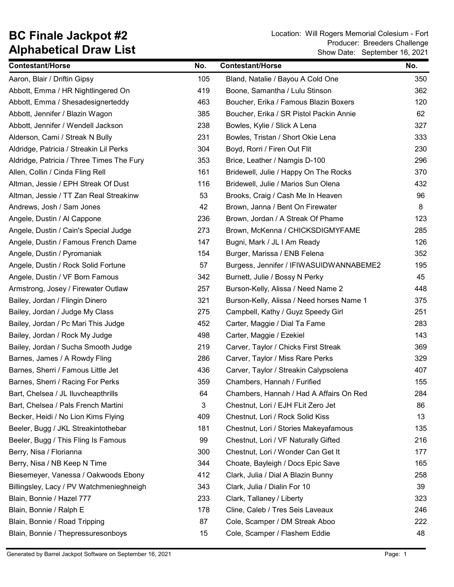| <b>Contestant/Horse</b>                   | No. | <b>Contestant/Horse</b>                   | No. |
|-------------------------------------------|-----|-------------------------------------------|-----|
| Aaron, Blair / Driftin Gipsy              | 105 | Bland, Natalie / Bayou A Cold One         | 350 |
| Abbott, Emma / HR Nightlingered On        | 419 | Boone, Samantha / Lulu Stinson            | 362 |
| Abbott, Emma / Shesadesignerteddy         | 463 | Boucher, Erika / Famous Blazin Boxers     | 120 |
| Abbott, Jennifer / Blazin Wagon           | 385 | Boucher, Erika / SR Pistol Packin Annie   | 62  |
| Abbott, Jennifer / Wendell Jackson        | 238 | Bowles, Kylie / Slick A Lena              | 327 |
| Alderson, Cami / Streak N Bully           | 231 | Bowles, Tristan / Short Okie Lena         | 333 |
| Aldridge, Patricia / Streakin Lil Perks   | 304 | Boyd, Rorri / Firen Out Flit              | 230 |
| Aldridge, Patricia / Three Times The Fury | 353 | Brice, Leather / Namgis D-100             | 296 |
| Allen, Collin / Cinda Fling Rell          | 161 | Bridewell, Julie / Happy On The Rocks     | 370 |
| Altman, Jessie / EPH Streak Of Dust       | 116 | Bridewell, Julie / Marios Sun Olena       | 432 |
| Altman, Jessie / TT Zan Real Streakinw    | 53  | Brooks, Craig / Cash Me In Heaven         | 96  |
| Andrews, Josh / Sam Jones                 | 42  | Brown, Janna / Bent On Firewater          | 8   |
| Angele, Dustin / Al Cappone               | 236 | Brown, Jordan / A Streak Of Phame         | 123 |
| Angele, Dustin / Cain's Special Judge     | 273 | Brown, McKenna / CHICKSDIGMYFAME          | 285 |
| Angele, Dustin / Famous French Dame       | 147 | Bugni, Mark / JL I Am Ready               | 126 |
| Angele, Dustin / Pyromaniak               | 154 | Burger, Marissa / ENB Felena              | 352 |
| Angele, Dustin / Rock Solid Fortune       | 57  | Burgess, Jennifer / IFIWASUIDWANNABEME2   | 195 |
| Angele, Dustin / VF Born Famous           | 342 | Burnett, Julie / Bossy N Perky            | 45  |
| Armstrong, Josey / Firewater Outlaw       | 257 | Burson-Kelly, Alissa / Need Name 2        | 448 |
| Bailey, Jordan / Flingin Dinero           | 321 | Burson-Kelly, Alissa / Need horses Name 1 | 375 |
| Bailey, Jordan / Judge My Class           | 275 | Campbell, Kathy / Guyz Speedy Girl        | 251 |
| Bailey, Jordan / Pc Mari This Judge       | 452 | Carter, Maggie / Dial Ta Fame             | 283 |
| Bailey, Jordan / Rock My Judge            | 498 | Carter, Maggie / Ezekiel                  | 143 |
| Bailey, Jordan / Sucha Smooth Judge       | 219 | Carver, Taylor / Chicks First Streak      | 369 |
| Barnes, James / A Rowdy Fling             | 286 | Carver, Taylor / Miss Rare Perks          | 329 |
| Barnes, Sherri / Famous Little Jet        | 436 | Carver, Taylor / Streakin Calypsolena     | 407 |
| Barnes, Sherri / Racing For Perks         | 359 | Chambers, Hannah / Furified               | 155 |
| Bart, Chelsea / JL Iluvcheapthrills       | 64  | Chambers, Hannah / Had A Affairs On Red   | 284 |
| Bart, Chelsea / Pals French Martini       | 3   | Chestnut, Lori / EJH FLit Zero Jet        | 86  |
| Becker, Heidi / No Lion Kims Flying       | 409 | Chestnut, Lori / Rock Solid Kiss          | 13  |
| Beeler, Bugg / JKL Streakintothebar       | 181 | Chestnut, Lori / Stories Makeyafamous     | 135 |
| Beeler, Bugg / This Fling Is Famous       | 99  | Chestnut, Lori / VF Naturally Gifted      | 216 |
| Berry, Nisa / Florianna                   | 300 | Chestnut, Lori / Wonder Can Get It        | 177 |
| Berry, Nisa / NB Keep N Time              | 344 | Choate, Bayleigh / Docs Epic Save         | 165 |
| Biesemeyer, Vanessa / Oakwoods Ebony      | 412 | Clark, Julia / Dial A Blazin Bunny        | 258 |
| Billingsley, Lacy / PV Watchmenieghneigh  | 343 | Clark, Julia / Dialin For 10              | 39  |
| Blain, Bonnie / Hazel 777                 | 233 | Clark, Tallaney / Liberty                 | 323 |
| Blain, Bonnie / Ralph E                   | 178 | Cline, Caleb / Tres Seis Laveaux          | 246 |
| Blain, Bonnie / Road Tripping             | 87  | Cole, Scamper / DM Streak Aboo            | 222 |
| Blain, Bonnie / Thepressuresonboys        | 15  | Cole, Scamper / Flashem Eddie             | 48  |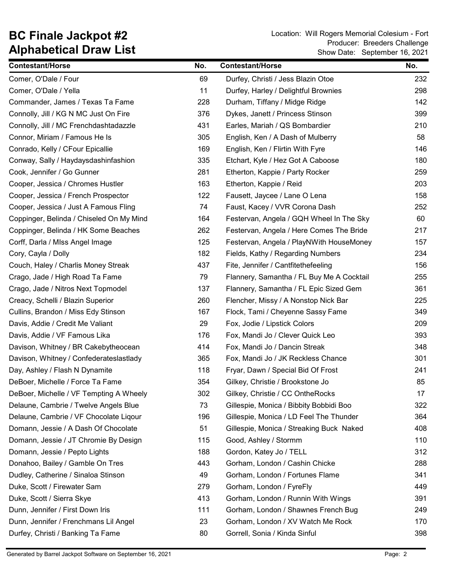| <b>Contestant/Horse</b>                  | No. | <b>Contestant/Horse</b>                   | No. |
|------------------------------------------|-----|-------------------------------------------|-----|
| Comer, O'Dale / Four                     | 69  | Durfey, Christi / Jess Blazin Otoe        | 232 |
| Comer, O'Dale / Yella                    | 11  | Durfey, Harley / Delightful Brownies      | 298 |
| Commander, James / Texas Ta Fame         | 228 | Durham, Tiffany / Midge Ridge             | 142 |
| Connolly, Jill / KG N MC Just On Fire    | 376 | Dykes, Janett / Princess Stinson          | 399 |
| Connolly, Jill / MC Frenchdashtadazzle   | 431 | Earles, Mariah / QS Bombardier            | 210 |
| Connor, Miriam / Famous He Is            | 305 | English, Ken / A Dash of Mulberry         | 58  |
| Conrado, Kelly / CFour Epicallie         | 169 | English, Ken / Flirtin With Fyre          | 146 |
| Conway, Sally / Haydaysdashinfashion     | 335 | Etchart, Kyle / Hez Got A Caboose         | 180 |
| Cook, Jennifer / Go Gunner               | 281 | Etherton, Kappie / Party Rocker           | 259 |
| Cooper, Jessica / Chromes Hustler        | 163 | Etherton, Kappie / Reid                   | 203 |
| Cooper, Jessica / French Prospector      | 122 | Fausett, Jaycee / Lane O Lena             | 158 |
| Cooper, Jessica / Just A Famous Fling    | 74  | Faust, Kacey / VVR Corona Dash            | 252 |
| Coppinger, Belinda / Chiseled On My Mind | 164 | Festervan, Angela / GQH Wheel In The Sky  | 60  |
| Coppinger, Belinda / HK Some Beaches     | 262 | Festervan, Angela / Here Comes The Bride  | 217 |
| Corff, Darla / Miss Angel Image          | 125 | Festervan, Angela / PlayNWith HouseMoney  | 157 |
| Cory, Cayla / Dolly                      | 182 | Fields, Kathy / Regarding Numbers         | 234 |
| Couch, Haley / Charlis Money Streak      | 437 | Fite, Jennifer / Cantfitethefeeling       | 156 |
| Crago, Jade / High Road Ta Fame          | 79  | Flannery, Samantha / FL Buy Me A Cocktail | 255 |
| Crago, Jade / Nitros Next Topmodel       | 137 | Flannery, Samantha / FL Epic Sized Gem    | 361 |
| Creacy, Schelli / Blazin Superior        | 260 | Flencher, Missy / A Nonstop Nick Bar      | 225 |
| Cullins, Brandon / Miss Edy Stinson      | 167 | Flock, Tami / Cheyenne Sassy Fame         | 349 |
| Davis, Addie / Credit Me Valiant         | 29  | Fox, Jodie / Lipstick Colors              | 209 |
| Davis, Addie / VF Famous Lika            | 176 | Fox, Mandi Jo / Clever Quick Leo          | 393 |
| Davison, Whitney / BR Cakebytheocean     | 414 | Fox, Mandi Jo / Dancin Streak             | 348 |
| Davison, Whitney / Confederateslastlady  | 365 | Fox, Mandi Jo / JK Reckless Chance        | 301 |
| Day, Ashley / Flash N Dynamite           | 118 | Fryar, Dawn / Special Bid Of Frost        | 241 |
| DeBoer, Michelle / Force Ta Fame         | 354 | Gilkey, Christie / Brookstone Jo          | 85  |
| DeBoer, Michelle / VF Tempting A Wheely  | 302 | Gilkey, Christie / CC OntheRocks          | 17  |
| Delaune, Cambrie / Twelve Angels Blue    | 73  | Gillespie, Monica / Bibbity Bobbidi Boo   | 322 |
| Delaune, Cambrie / VF Chocolate Ligour   | 196 | Gillespie, Monica / LD Feel The Thunder   | 364 |
| Domann, Jessie / A Dash Of Chocolate     | 51  | Gillespie, Monica / Streaking Buck Naked  | 408 |
| Domann, Jessie / JT Chromie By Design    | 115 | Good, Ashley / Stormm                     | 110 |
| Domann, Jessie / Pepto Lights            | 188 | Gordon, Katey Jo / TELL                   | 312 |
| Donahoo, Bailey / Gamble On Tres         | 443 | Gorham, London / Cashin Chicke            | 288 |
| Dudley, Catherine / Sinaloa Stinson      | 49  | Gorham, London / Fortunes Flame           | 341 |
| Duke, Scott / Firewater Sam              | 279 | Gorham, London / FyreFly                  | 449 |
| Duke, Scott / Sierra Skye                | 413 | Gorham, London / Runnin With Wings        | 391 |
| Dunn, Jennifer / First Down Iris         | 111 | Gorham, London / Shawnes French Bug       | 249 |
| Dunn, Jennifer / Frenchmans Lil Angel    | 23  | Gorham, London / XV Watch Me Rock         | 170 |
| Durfey, Christi / Banking Ta Fame        | 80  | Gorrell, Sonia / Kinda Sinful             | 398 |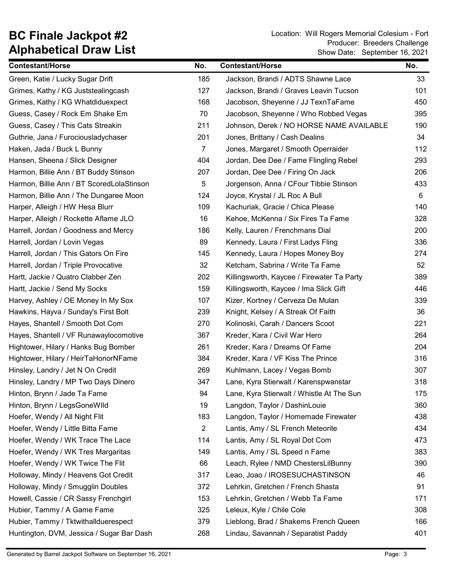| <b>Contestant/Horse</b>                   | No.            | <b>Contestant/Horse</b>                    | No. |
|-------------------------------------------|----------------|--------------------------------------------|-----|
| Green, Katie / Lucky Sugar Drift          | 185            | Jackson, Brandi / ADTS Shawne Lace         | 33  |
| Grimes, Kathy / KG Juststealingcash       | 127            | Jackson, Brandi / Graves Leavin Tucson     | 101 |
| Grimes, Kathy / KG Whatdiduexpect         | 168            | Jacobson, Sheyenne / JJ TexnTaFame         | 450 |
| Guess, Casey / Rock Em Shake Em           | 70             | Jacobson, Sheyenne / Who Robbed Vegas      | 395 |
| Guess, Casey / This Cats Streakin         | 211            | Johnson, Derek / NO HORSE NAME AVAILABLE   | 190 |
| Guthrie, Jana / Furociousladychaser       | 201            | Jones, Brittany / Cash Dealins             | 34  |
| Haken, Jada / Buck L Bunny                | $\overline{7}$ | Jones, Margaret / Smooth Operraider        | 112 |
| Hansen, Sheena / Slick Designer           | 404            | Jordan, Dee Dee / Fame Flingling Rebel     | 293 |
| Harmon, Billie Ann / BT Buddy Stinson     | 207            | Jordan, Dee Dee / Firing On Jack           | 206 |
| Harmon, Billie Ann / BT ScoredLolaStinson | 5              | Jorgenson, Anna / CFour Tibbie Stinson     | 433 |
| Harmon, Billie Ann / The Dungaree Moon    | 124            | Joyce, Krystal / JL Roc A Bull             | 6   |
| Harper, Alleigh / HW Hesa Blurr           | 109            | Kachuriak, Gracie / Chica Please           | 140 |
| Harper, Alleigh / Rockette Aflame JLO     | 16             | Kehoe, McKenna / Six Fires Ta Fame         | 328 |
| Harrell, Jordan / Goodness and Mercy      | 186            | Kelly, Lauren / Frenchmans Dial            | 200 |
| Harrell, Jordan / Lovin Vegas             | 89             | Kennedy, Laura / First Ladys Fling         | 336 |
| Harrell, Jordan / This Gators On Fire     | 145            | Kennedy, Laura / Hopes Money Boy           | 274 |
| Harrell, Jordan / Triple Provocative      | 32             | Ketcham, Sabrina / Write Ta Fame           | 52  |
| Hartt, Jackie / Quatro Clabber Zen        | 202            | Killingsworth, Kaycee / Firewater Ta Party | 389 |
| Hartt, Jackie / Send My Socks             | 159            | Killingsworth, Kaycee / Ima Slick Gift     | 446 |
| Harvey, Ashley / OE Money In My Sox       | 107            | Kizer, Kortney / Cerveza De Mulan          | 339 |
| Hawkins, Hayva / Sunday's First Bolt      | 239            | Knight, Kelsey / A Streak Of Faith         | 36  |
| Hayes, Shantell / Smooth Dot Com          | 270            | Kolinoski, Carah / Dancers Scoot           | 221 |
| Hayes, Shantell / VF Runawaylocomotive    | 367            | Kreder, Kara / Civil War Hero              | 264 |
| Hightower, Hilary / Hanks Bug Bomber      | 261            | Kreder, Kara / Dreams Of Fame              | 204 |
| Hightower, Hilary / HeirTaHonorNFame      | 384            | Kreder, Kara / VF Kiss The Prince          | 316 |
| Hinsley, Landry / Jet N On Credit         | 269            | Kuhlmann, Lacey / Vegas Bomb               | 307 |
| Hinsley, Landry / MP Two Days Dinero      | 347            | Lane, Kyra Stierwalt / Karenspwanstar      | 318 |
| Hinton, Brynn / Jade Ta Fame              | 94             | Lane, Kyra Stierwalt / Whistle At The Sun  | 175 |
| Hinton, Brynn / LegsGoneWlld              | 19             | Langdon, Taylor / DashinLouie              | 360 |
| Hoefer, Wendy / All Night Flit            | 183            | Langdon, Taylor / Homemade Firewater       | 438 |
| Hoefer, Wendy / Little Bitta Fame         | $\overline{2}$ | Lantis, Amy / SL French Meteorite          | 434 |
| Hoefer, Wendy / WK Trace The Lace         | 114            | Lantis, Amy / SL Royal Dot Com             | 473 |
| Hoefer, Wendy / WK Tres Margaritas        | 149            | Lantis, Amy / SL Speed n Fame              | 383 |
| Hoefer, Wendy / WK Twice The Flit         | 66             | Leach, Rylee / NMD ChestersLilBunny        | 390 |
| Holloway, Mindy / Heavens Got Credit      | 317            | Leao, Joao / IROSESUCHASTINSON             | 46  |
| Holloway, Mindy / Smugglin Doubles        | 372            | Lehrkin, Gretchen / French Shasta          | 91  |
| Howell, Cassie / CR Sassy Frenchgirl      | 153            | Lehrkin, Gretchen / Webb Ta Fame           | 171 |
| Hubier, Tammy / A Game Fame               | 325            | Leleux, Kyle / Chile Cole                  | 308 |
| Hubier, Tammy / Tktwithallduerespect      | 379            | Lieblong, Brad / Shakems French Queen      | 166 |
| Huntington, DVM, Jessica / Sugar Bar Dash | 268            | Lindau, Savannah / Separatist Paddy        | 401 |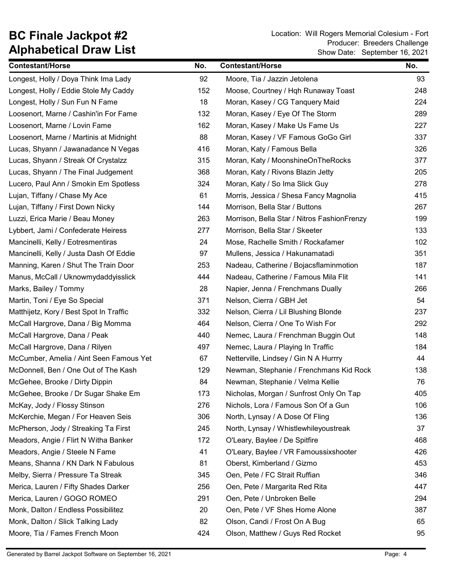| <b>Contestant/Horse</b>                 | No. | <b>Contestant/Horse</b>                     | No. |
|-----------------------------------------|-----|---------------------------------------------|-----|
| Longest, Holly / Doya Think Ima Lady    | 92  | Moore, Tia / Jazzin Jetolena                | 93  |
| Longest, Holly / Eddie Stole My Caddy   | 152 | Moose, Courtney / Hqh Runaway Toast         | 248 |
| Longest, Holly / Sun Fun N Fame         | 18  | Moran, Kasey / CG Tanquery Maid             | 224 |
| Loosenort, Marne / Cashin'in For Fame   | 132 | Moran, Kasey / Eye Of The Storm             | 289 |
| Loosenort, Marne / Lovin Fame           | 162 | Moran, Kasey / Make Us Fame Us              | 227 |
| Loosenort, Marne / Martinis at Midnight | 88  | Moran, Kasey / VF Famous GoGo Girl          | 337 |
| Lucas, Shyann / Jawanadance N Vegas     | 416 | Moran, Katy / Famous Bella                  | 326 |
| Lucas, Shyann / Streak Of Crystalzz     | 315 | Moran, Katy / MoonshineOnTheRocks           | 377 |
| Lucas, Shyann / The Final Judgement     | 368 | Moran, Katy / Rivons Blazin Jetty           | 205 |
| Lucero, Paul Ann / Smokin Em Spotless   | 324 | Moran, Katy / So Ima Slick Guy              | 278 |
| Lujan, Tiffany / Chase My Ace           | 61  | Morris, Jessica / Shesa Fancy Magnolia      | 415 |
| Lujan, Tiffany / First Down Nicky       | 144 | Morrison, Bella Star / Buttons              | 267 |
| Luzzi, Erica Marie / Beau Money         | 263 | Morrison, Bella Star / Nitros FashionFrenzy | 199 |
| Lybbert, Jami / Confederate Heiress     | 277 | Morrison, Bella Star / Skeeter              | 133 |
| Mancinelli, Kelly / Eotresmentiras      | 24  | Mose, Rachelle Smith / Rockafamer           | 102 |
| Mancinelli, Kelly / Justa Dash Of Eddie | 97  | Mullens, Jessica / Hakunamatadi             | 351 |
| Manning, Karen / Shut The Train Door    | 253 | Nadeau, Catherine / Bojacsflaminmotion      | 187 |
| Manus, McCall / Uknowmydaddyisslick     | 444 | Nadeau, Catherine / Famous Mila Flit        | 141 |
| Marks, Bailey / Tommy                   | 28  | Napier, Jenna / Frenchmans Dually           | 266 |
| Martin, Toni / Eye So Special           | 371 | Nelson, Cierra / GBH Jet                    | 54  |
| Matthijetz, Kory / Best Spot In Traffic | 332 | Nelson, Cierra / Lil Blushing Blonde        | 237 |
| McCall Hargrove, Dana / Big Momma       | 464 | Nelson, Cierra / One To Wish For            | 292 |
| McCall Hargrove, Dana / Peak            | 440 | Nemec, Laura / Frenchman Buggin Out         | 148 |
| McCall Hargrove, Dana / Rilyen          | 497 | Nemec, Laura / Playing In Traffic           | 184 |
| McCumber, Amelia / Aint Seen Famous Yet | 67  | Netterville, Lindsey / Gin N A Hurrry       | 44  |
| McDonnell, Ben / One Out of The Kash    | 129 | Newman, Stephanie / Frenchmans Kid Rock     | 138 |
| McGehee, Brooke / Dirty Dippin          | 84  | Newman, Stephanie / Velma Kellie            | 76  |
| McGehee, Brooke / Dr Sugar Shake Em     | 173 | Nicholas, Morgan / Sunfrost Only On Tap     | 405 |
| McKay, Jody / Flossy Stinson            | 276 | Nichols, Lora / Famous Son Of a Gun         | 106 |
| McKerchie, Megan / For Heaven Seis      | 306 | North, Lynsay / A Dose Of Fling             | 136 |
| McPherson, Jody / Streaking Ta First    | 245 | North, Lynsay / Whistlewhileyoustreak       | 37  |
| Meadors, Angie / Flirt N Witha Banker   | 172 | O'Leary, Baylee / De Spitfire               | 468 |
| Meadors, Angie / Steele N Fame          | 41  | O'Leary, Baylee / VR Famoussixshooter       | 426 |
| Means, Shanna / KN Dark N Fabulous      | 81  | Oberst, Kimberland / Gizmo                  | 453 |
| Melby, Sierra / Pressure Ta Streak      | 345 | Oen, Pete / FC Strait Ruffian               | 346 |
| Merica, Lauren / Fifty Shades Darker    | 256 | Oen, Pete / Margarita Red Rita              | 447 |
| Merica, Lauren / GOGO ROMEO             | 291 | Oen, Pete / Unbroken Belle                  | 294 |
| Monk, Dalton / Endless Possibilitez     | 20  | Oen, Pete / VF Shes Home Alone              | 387 |
| Monk, Dalton / Slick Talking Lady       | 82  | Olson, Candi / Frost On A Bug               | 65  |
| Moore, Tia / Fames French Moon          | 424 | Olson, Matthew / Guys Red Rocket            | 95  |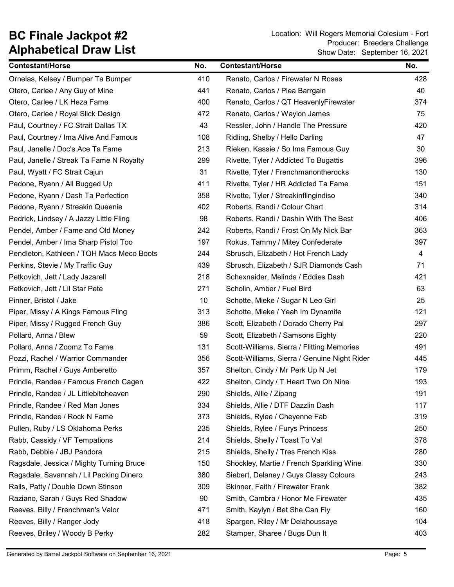BC Finale Jackpot #2 Location: Will Rogers Memorial Colesium - Fort Show Date: September 16, 2021 Producer: Breeders Challenge

| <b>Contestant/Horse</b>                   | No. | <b>Contestant/Horse</b>                      | No. |
|-------------------------------------------|-----|----------------------------------------------|-----|
| Ornelas, Kelsey / Bumper Ta Bumper        | 410 | Renato, Carlos / Firewater N Roses           | 428 |
| Otero, Carlee / Any Guy of Mine           | 441 | Renato, Carlos / Plea Barrgain               | 40  |
| Otero, Carlee / LK Heza Fame              | 400 | Renato, Carlos / QT HeavenlyFirewater        | 374 |
| Otero, Carlee / Royal Slick Design        | 472 | Renato, Carlos / Waylon James                | 75  |
| Paul, Courtney / FC Strait Dallas TX      | 43  | Ressler, John / Handle The Pressure          | 420 |
| Paul, Courtney / Ima Alive And Famous     | 108 | Ridling, Shelby / Hello Darling              | 47  |
| Paul, Janelle / Doc's Ace Ta Fame         | 213 | Rieken, Kassie / So Ima Famous Guy           | 30  |
| Paul, Janelle / Streak Ta Fame N Royalty  | 299 | Rivette, Tyler / Addicted To Bugattis        | 396 |
| Paul, Wyatt / FC Strait Cajun             | 31  | Rivette, Tyler / Frenchmanontherocks         | 130 |
| Pedone, Ryann / All Bugged Up             | 411 | Rivette, Tyler / HR Addicted Ta Fame         | 151 |
| Pedone, Ryann / Dash Ta Perfection        | 358 | Rivette, Tyler / Streakinflingindiso         | 340 |
| Pedone, Ryann / Streakin Queenie          | 402 | Roberts, Randi / Colour Chart                | 314 |
| Pedrick, Lindsey / A Jazzy Little Fling   | 98  | Roberts, Randi / Dashin With The Best        | 406 |
| Pendel, Amber / Fame and Old Money        | 242 | Roberts, Randi / Frost On My Nick Bar        | 363 |
| Pendel, Amber / Ima Sharp Pistol Too      | 197 | Rokus, Tammy / Mitey Confederate             | 397 |
| Pendleton, Kathleen / TQH Macs Meco Boots | 244 | Sbrusch, Elizabeth / Hot French Lady         | 4   |
| Perkins, Stevie / My Traffic Guy          | 439 | Sbrusch, Elizabeth / SJR Diamonds Cash       | 71  |
| Petkovich, Jett / Lady Jazarell           | 218 | Schexnaider, Melinda / Eddies Dash           | 421 |
| Petkovich, Jett / Lil Star Pete           | 271 | Scholin, Amber / Fuel Bird                   | 63  |
| Pinner, Bristol / Jake                    | 10  | Schotte, Mieke / Sugar N Leo Girl            | 25  |
| Piper, Missy / A Kings Famous Fling       | 313 | Schotte, Mieke / Yeah Im Dynamite            | 121 |
| Piper, Missy / Rugged French Guy          | 386 | Scott, Elizabeth / Dorado Cherry Pal         | 297 |
| Pollard, Anna / Blew                      | 59  | Scott, Elizabeth / Samsons Eighty            | 220 |
| Pollard, Anna / Zoomz To Fame             | 131 | Scott-Williams, Sierra / Flitting Memories   | 491 |
| Pozzi, Rachel / Warrior Commander         | 356 | Scott-Williams, Sierra / Genuine Night Rider | 445 |
| Primm, Rachel / Guys Amberetto            | 357 | Shelton, Cindy / Mr Perk Up N Jet            | 179 |
| Prindle, Randee / Famous French Cagen     | 422 | Shelton, Cindy / T Heart Two Oh Nine         | 193 |
| Prindle, Randee / JL Littlebitoheaven     | 290 | Shields, Allie / Zipang                      | 191 |
| Prindle, Randee / Red Man Jones           | 334 | Shields, Allie / DTF Dazzlin Dash            | 117 |
| Prindle, Randee / Rock N Fame             | 373 | Shields, Rylee / Cheyenne Fab                | 319 |
| Pullen, Ruby / LS Oklahoma Perks          | 235 | Shields, Rylee / Furys Princess              | 250 |
| Rabb, Cassidy / VF Tempations             | 214 | Shields, Shelly / Toast To Val               | 378 |
| Rabb, Debbie / JBJ Pandora                | 215 | Shields, Shelly / Tres French Kiss           | 280 |
| Ragsdale, Jessica / Mighty Turning Bruce  | 150 | Shockley, Martie / French Sparkling Wine     | 330 |
| Ragsdale, Savannah / Lil Packing Dinero   | 380 | Siebert, Delaney / Guys Classy Colours       | 243 |
| Ralls, Patty / Double Down Stinson        | 309 | Skinner, Faith / Firewater Frank             | 382 |
| Raziano, Sarah / Guys Red Shadow          | 90  | Smith, Cambra / Honor Me Firewater           | 435 |
| Reeves, Billy / Frenchman's Valor         | 471 | Smith, Kaylyn / Bet She Can Fly              | 160 |
| Reeves, Billy / Ranger Jody               | 418 | Spargen, Riley / Mr Delahoussaye             | 104 |
| Reeves, Briley / Woody B Perky            | 282 | Stamper, Sharee / Bugs Dun It                | 403 |